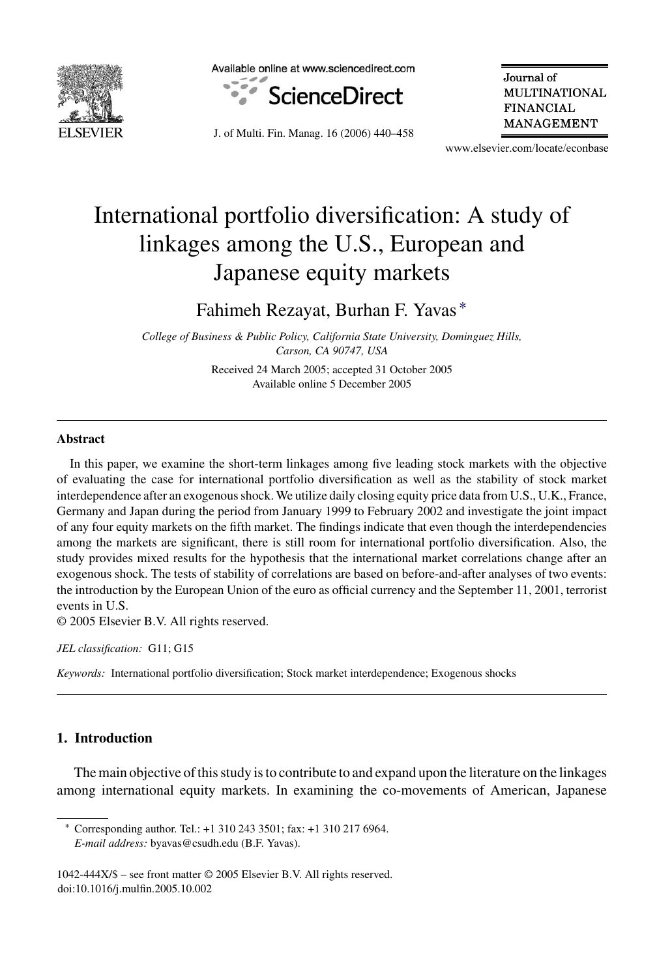

Available online at www.sciencedirect.com



J. of Multi. Fin. Manag. 16 (2006) 440–458

Journal of **MULTINATIONAL FINANCIAL** MANAGEMENT

www.elsevier.com/locate/econbase

## International portfolio diversification: A study of linkages among the U.S., European and Japanese equity markets

Fahimeh Rezayat, Burhan F. Yavas ∗

*College of Business & Public Policy, California State University, Dominguez Hills, Carson, CA 90747, USA*

> Received 24 March 2005; accepted 31 October 2005 Available online 5 December 2005

## **Abstract**

In this paper, we examine the short-term linkages among five leading stock markets with the objective of evaluating the case for international portfolio diversification as well as the stability of stock market interdependence after an exogenous shock. We utilize daily closing equity price data from U.S., U.K., France, Germany and Japan during the period from January 1999 to February 2002 and investigate the joint impact of any four equity markets on the fifth market. The findings indicate that even though the interdependencies among the markets are significant, there is still room for international portfolio diversification. Also, the study provides mixed results for the hypothesis that the international market correlations change after an exogenous shock. The tests of stability of correlations are based on before-and-after analyses of two events: the introduction by the European Union of the euro as official currency and the September 11, 2001, terrorist events in U.S.

© 2005 Elsevier B.V. All rights reserved.

*JEL classification:* G11; G15

*Keywords:* International portfolio diversification; Stock market interdependence; Exogenous shocks

## **1. Introduction**

The main objective of this study is to contribute to and expand upon the literature on the linkages among international equity markets. In examining the co-movements of American, Japanese

<sup>∗</sup> Corresponding author. Tel.: +1 310 243 3501; fax: +1 310 217 6964. *E-mail address:* byavas@csudh.edu (B.F. Yavas).

<sup>1042-444</sup>X/\$ – see front matter © 2005 Elsevier B.V. All rights reserved. doi:10.1016/j.mulfin.2005.10.002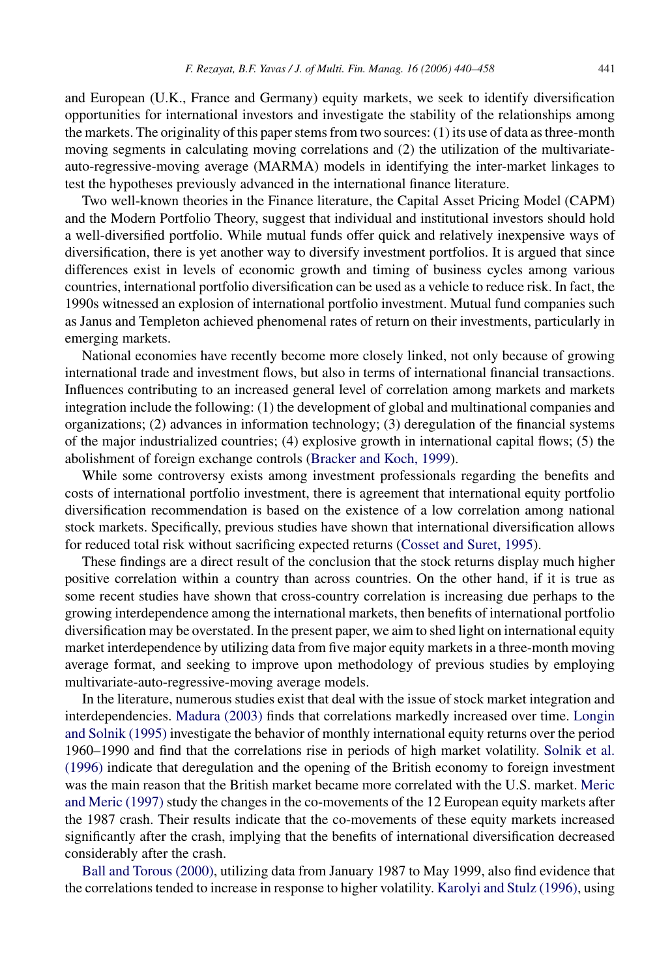and European (U.K., France and Germany) equity markets, we seek to identify diversification opportunities for international investors and investigate the stability of the relationships among the markets. The originality of this paper stems from two sources: (1) its use of data as three-month moving segments in calculating moving correlations and (2) the utilization of the multivariateauto-regressive-moving average (MARMA) models in identifying the inter-market linkages to test the hypotheses previously advanced in the international finance literature.

Two well-known theories in the Finance literature, the Capital Asset Pricing Model (CAPM) and the Modern Portfolio Theory, suggest that individual and institutional investors should hold a well-diversified portfolio. While mutual funds offer quick and relatively inexpensive ways of diversification, there is yet another way to diversify investment portfolios. It is argued that since differences exist in levels of economic growth and timing of business cycles among various countries, international portfolio diversification can be used as a vehicle to reduce risk. In fact, the 1990s witnessed an explosion of international portfolio investment. Mutual fund companies such as Janus and Templeton achieved phenomenal rates of return on their investments, particularly in emerging markets.

National economies have recently become more closely linked, not only because of growing international trade and investment flows, but also in terms of international financial transactions. Influences contributing to an increased general level of correlation among markets and markets integration include the following: (1) the development of global and multinational companies and organizations; (2) advances in information technology; (3) deregulation of the financial systems of the major industrialized countries; (4) explosive growth in international capital flows; (5) the abolishment of foreign exchange controls [\(Bracker and Koch, 1999\).](#page--1-0)

While some controversy exists among investment professionals regarding the benefits and costs of international portfolio investment, there is agreement that international equity portfolio diversification recommendation is based on the existence of a low correlation among national stock markets. Specifically, previous studies have shown that international diversification allows for reduced total risk without sacrificing expected returns [\(Cosset and Suret, 1995\).](#page--1-0)

These findings are a direct result of the conclusion that the stock returns display much higher positive correlation within a country than across countries. On the other hand, if it is true as some recent studies have shown that cross-country correlation is increasing due perhaps to the growing interdependence among the international markets, then benefits of international portfolio diversification may be overstated. In the present paper, we aim to shed light on international equity market interdependence by utilizing data from five major equity markets in a three-month moving average format, and seeking to improve upon methodology of previous studies by employing multivariate-auto-regressive-moving average models.

In the literature, numerous studies exist that deal with the issue of stock market integration and interdependencies. [Madura \(2003\)](#page--1-0) finds that correlations markedly increased over time. [Longin](#page--1-0) [and Solnik \(1995\)](#page--1-0) investigate the behavior of monthly international equity returns over the period 1960–1990 and find that the correlations rise in periods of high market volatility. [Solnik et al.](#page--1-0) [\(1996\)](#page--1-0) indicate that deregulation and the opening of the British economy to foreign investment was the main reason that the British market became more correlated with the U.S. market. [Meric](#page--1-0) [and Meric \(1997\)](#page--1-0) study the changes in the co-movements of the 12 European equity markets after the 1987 crash. Their results indicate that the co-movements of these equity markets increased significantly after the crash, implying that the benefits of international diversification decreased considerably after the crash.

[Ball and Torous \(2000\), u](#page--1-0)tilizing data from January 1987 to May 1999, also find evidence that the correlations tended to increase in response to higher volatility. [Karolyi and Stulz \(1996\), u](#page--1-0)sing